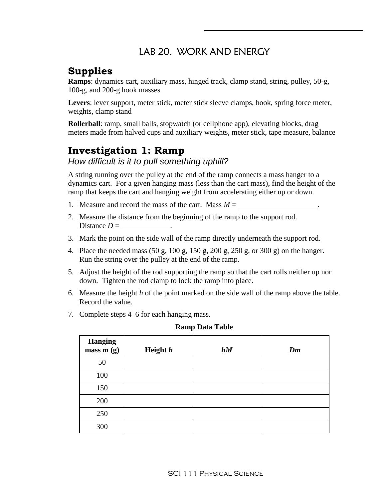## LAB 20. WORK AND ENERGY

# **Supplies**

**Ramps**: dynamics cart, auxiliary mass, hinged track, clamp stand, string, pulley, 50-g, 100-g, and 200-g hook masses

**Levers**: lever support, meter stick, meter stick sleeve clamps, hook, spring force meter, weights, clamp stand

**Rollerball**: ramp, small balls, stopwatch (or cellphone app), elevating blocks, drag meters made from halved cups and auxiliary weights, meter stick, tape measure, balance

# **Investigation 1: Ramp**

*How difficult is it to pull something uphill?*

A string running over the pulley at the end of the ramp connects a mass hanger to a dynamics cart. For a given hanging mass (less than the cart mass), find the height of the ramp that keeps the cart and hanging weight from accelerating either up or down.

- 1. Measure and record the mass of the cart. Mass  $M =$
- 2. Measure the distance from the beginning of the ramp to the support rod. Distance  $D =$  .
- 3. Mark the point on the side wall of the ramp directly underneath the support rod.
- 4. Place the needed mass (50 g, 100 g, 150 g, 200 g, 250 g, or 300 g) on the hanger. Run the string over the pulley at the end of the ramp.
- 5. Adjust the height of the rod supporting the ramp so that the cart rolls neither up nor down. Tighten the rod clamp to lock the ramp into place.
- 6. Measure the height *h* of the point marked on the side wall of the ramp above the table. Record the value.
- 7. Complete steps 4–6 for each hanging mass.

| <b>Hanging</b><br>$mass\,m\,(g)$ | Height h | hM | Dm |
|----------------------------------|----------|----|----|
| 50                               |          |    |    |
| 100                              |          |    |    |
| 150                              |          |    |    |
| 200                              |          |    |    |
| 250                              |          |    |    |
| 300                              |          |    |    |

#### **Ramp Data Table**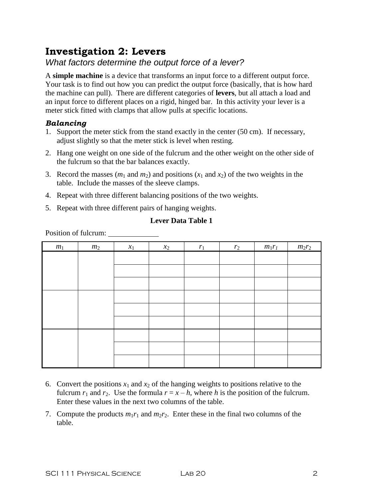## **Investigation 2: Levers**

### *What factors determine the output force of a lever?*

A **simple machine** is a device that transforms an input force to a different output force. Your task is to find out how you can predict the output force (basically, that is how hard the machine can pull). There are different categories of **levers**, but all attach a load and an input force to different places on a rigid, hinged bar. In this activity your lever is a meter stick fitted with clamps that allow pulls at specific locations.

### *Balancing*

- 1. Support the meter stick from the stand exactly in the center (50 cm). If necessary, adjust slightly so that the meter stick is level when resting.
- 2. Hang one weight on one side of the fulcrum and the other weight on the other side of the fulcrum so that the bar balances exactly.
- 3. Record the masses  $(m_1 \text{ and } m_2)$  and positions  $(x_1 \text{ and } x_2)$  of the two weights in the table. Include the masses of the sleeve clamps.
- 4. Repeat with three different balancing positions of the two weights.
- 5. Repeat with three different pairs of hanging weights.

#### **Lever Data Table 1**

Position of fulcrum:

| $\boldsymbol{m}_1$ | m <sub>2</sub> | $x_1$ | $x_2$ | $r_1$ | $r_2$ | $m_1r_1$ | $m_2r_2$ |
|--------------------|----------------|-------|-------|-------|-------|----------|----------|
|                    |                |       |       |       |       |          |          |
|                    |                |       |       |       |       |          |          |
|                    |                |       |       |       |       |          |          |
|                    |                |       |       |       |       |          |          |
|                    |                |       |       |       |       |          |          |
|                    |                |       |       |       |       |          |          |
|                    |                |       |       |       |       |          |          |
|                    |                |       |       |       |       |          |          |
|                    |                |       |       |       |       |          |          |

- 6. Convert the positions  $x_1$  and  $x_2$  of the hanging weights to positions relative to the fulcrum  $r_1$  and  $r_2$ . Use the formula  $r = x - h$ , where *h* is the position of the fulcrum. Enter these values in the next two columns of the table.
- 7. Compute the products  $m_1r_1$  and  $m_2r_2$ . Enter these in the final two columns of the table.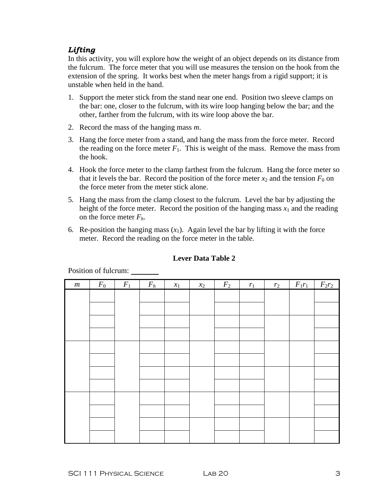### *Lifting*

In this activity, you will explore how the weight of an object depends on its distance from the fulcrum. The force meter that you will use measures the tension on the hook from the extension of the spring. It works best when the meter hangs from a rigid support; it is unstable when held in the hand.

- 1. Support the meter stick from the stand near one end. Position two sleeve clamps on the bar: one, closer to the fulcrum, with its wire loop hanging below the bar; and the other, farther from the fulcrum, with its wire loop above the bar.
- 2. Record the mass of the hanging mass *m*.
- 3. Hang the force meter from a stand, and hang the mass from the force meter. Record the reading on the force meter  $F_1$ . This is weight of the mass. Remove the mass from the hook.
- 4. Hook the force meter to the clamp farthest from the fulcrum. Hang the force meter so that it levels the bar. Record the position of the force meter  $x_2$  and the tension  $F_0$  on the force meter from the meter stick alone.
- 5. Hang the mass from the clamp closest to the fulcrum. Level the bar by adjusting the height of the force meter. Record the position of the hanging mass  $x_1$  and the reading on the force meter *Fh*.
- 6. Re-position the hanging mass  $(x_1)$ . Again level the bar by lifting it with the force meter. Record the reading on the force meter in the table.

| $\boldsymbol{m}$ | $F_0$ | $F_1$ | $F_h$ | $x_1$ | $x_2$ | $F_2$ | $r_1$ | $r_2$ | $F_1r_1$ | $F_2r_2$ |
|------------------|-------|-------|-------|-------|-------|-------|-------|-------|----------|----------|
|                  |       |       |       |       |       |       |       |       |          |          |
|                  |       |       |       |       |       |       |       |       |          |          |
|                  |       |       |       |       |       |       |       |       |          |          |
|                  |       |       |       |       |       |       |       |       |          |          |
|                  |       |       |       |       |       |       |       |       |          |          |
|                  |       |       |       |       |       |       |       |       |          |          |
|                  |       |       |       |       |       |       |       |       |          |          |
|                  |       |       |       |       |       |       |       |       |          |          |
|                  |       |       |       |       |       |       |       |       |          |          |
|                  |       |       |       |       |       |       |       |       |          |          |
|                  |       |       |       |       |       |       |       |       |          |          |
|                  |       |       |       |       |       |       |       |       |          |          |
|                  |       |       |       |       |       |       |       |       |          |          |
|                  |       |       |       |       |       |       |       |       |          |          |
|                  |       |       |       |       |       |       |       |       |          |          |
|                  |       |       |       |       |       |       |       |       |          |          |
|                  |       |       |       |       |       |       |       |       |          |          |
|                  |       |       |       |       |       |       |       |       |          |          |
|                  |       |       |       |       |       |       |       |       |          |          |
|                  |       |       |       |       |       |       |       |       |          |          |
|                  |       |       |       |       |       |       |       |       |          |          |

#### **Lever Data Table 2**

Position of fulcrum: